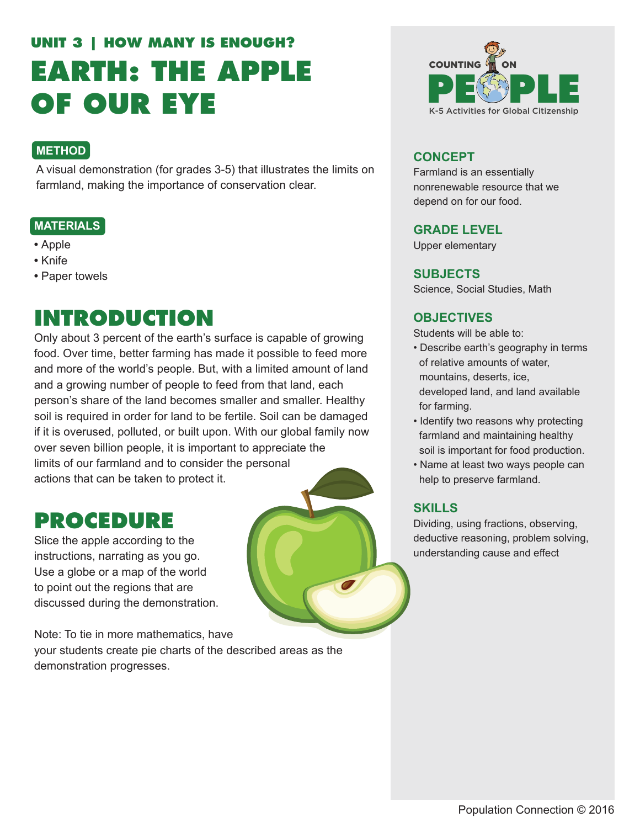# **UNIT 3 | HOW MANY IS ENOUGH? EARTH: THE APPLE OF OUR EYE**

#### **METHOD**

A visual demonstration (for grades 3-5) that illustrates the limits on farmland, making the importance of conservation clear.

#### **MATERIALS**

- Apple
- Knife
- Paper towels

## **INTRODUCTION**

Only about 3 percent of the earth's surface is capable of growing food. Over time, better farming has made it possible to feed more and more of the world's people. But, with a limited amount of land and a growing number of people to feed from that land, each person's share of the land becomes smaller and smaller. Healthy soil is required in order for land to be fertile. Soil can be damaged if it is overused, polluted, or built upon. With our global family now over seven billion people, it is important to appreciate the limits of our farmland and to consider the personal actions that can be taken to protect it.

### **PROCEDURE**

Slice the apple according to the instructions, narrating as you go. Use a globe or a map of the world to point out the regions that are discussed during the demonstration.

Note: To tie in more mathematics, have your students create pie charts of the described areas as the demonstration progresses.



#### **CONCEPT**

Farmland is an essentially nonrenewable resource that we depend on for our food.

#### **GRADE LEVEL**

Upper elementary

#### **SUBJECTS**

Science, Social Studies, Math

#### **OBJECTIVES**

Students will be able to:

- Describe earth's geography in terms of relative amounts of water, mountains, deserts, ice, developed land, and land available for farming.
- Identify two reasons why protecting farmland and maintaining healthy soil is important for food production.
- Name at least two ways people can help to preserve farmland.

#### **SKILLS**

Dividing, using fractions, observing, deductive reasoning, problem solving, understanding cause and effect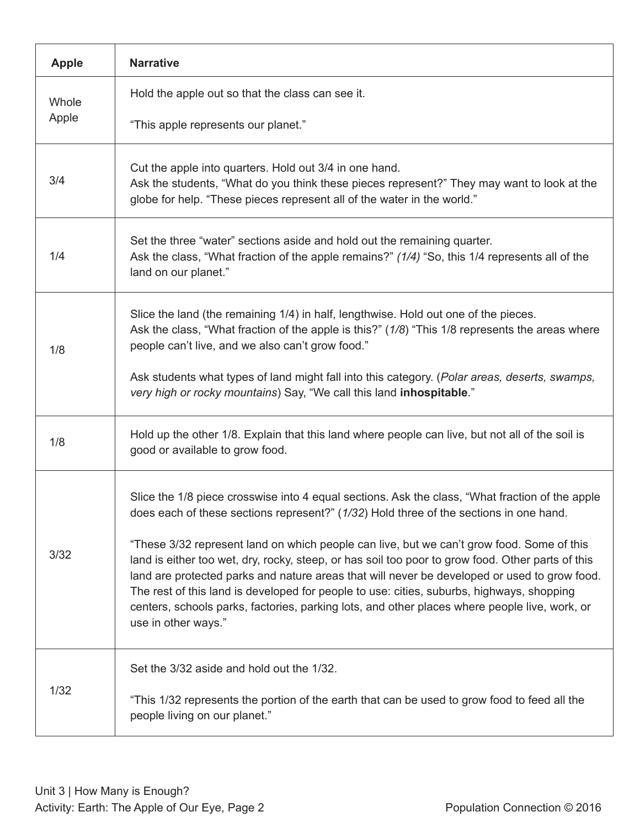| <b>Apple</b>   | <b>Narrative</b>                                                                                                                                                                                                                                                                                                                                                                                                                                                                                                                                                                                                                                                                                                 |
|----------------|------------------------------------------------------------------------------------------------------------------------------------------------------------------------------------------------------------------------------------------------------------------------------------------------------------------------------------------------------------------------------------------------------------------------------------------------------------------------------------------------------------------------------------------------------------------------------------------------------------------------------------------------------------------------------------------------------------------|
| Whole<br>Apple | Hold the apple out so that the class can see it.                                                                                                                                                                                                                                                                                                                                                                                                                                                                                                                                                                                                                                                                 |
|                | "This apple represents our planet."                                                                                                                                                                                                                                                                                                                                                                                                                                                                                                                                                                                                                                                                              |
| 3/4            | Cut the apple into quarters. Hold out 3/4 in one hand.<br>Ask the students, "What do you think these pieces represent?" They may want to look at the<br>globe for help. "These pieces represent all of the water in the world."                                                                                                                                                                                                                                                                                                                                                                                                                                                                                  |
| 1/4            | Set the three "water" sections aside and hold out the remaining quarter.<br>Ask the class, "What fraction of the apple remains?" (1/4) "So, this 1/4 represents all of the<br>land on our planet."                                                                                                                                                                                                                                                                                                                                                                                                                                                                                                               |
| 1/8            | Slice the land (the remaining 1/4) in half, lengthwise. Hold out one of the pieces.<br>Ask the class, "What fraction of the apple is this?" (1/8) "This 1/8 represents the areas where<br>people can't live, and we also can't grow food."                                                                                                                                                                                                                                                                                                                                                                                                                                                                       |
|                | Ask students what types of land might fall into this category. (Polar areas, deserts, swamps,<br>very high or rocky mountains) Say, "We call this land inhospitable."                                                                                                                                                                                                                                                                                                                                                                                                                                                                                                                                            |
| 1/8            | Hold up the other 1/8. Explain that this land where people can live, but not all of the soil is<br>good or available to grow food.                                                                                                                                                                                                                                                                                                                                                                                                                                                                                                                                                                               |
| 3/32           | Slice the 1/8 piece crosswise into 4 equal sections. Ask the class, "What fraction of the apple<br>does each of these sections represent?" (1/32) Hold three of the sections in one hand.<br>"These 3/32 represent land on which people can live, but we can't grow food. Some of this<br>land is either too wet, dry, rocky, steep, or has soil too poor to grow food. Other parts of this<br>land are protected parks and nature areas that will never be developed or used to grow food.<br>The rest of this land is developed for people to use: cities, suburbs, highways, shopping<br>centers, schools parks, factories, parking lots, and other places where people live, work, or<br>use in other ways." |
| 1/32           | Set the 3/32 aside and hold out the 1/32.<br>"This 1/32 represents the portion of the earth that can be used to grow food to feed all the<br>people living on our planet."                                                                                                                                                                                                                                                                                                                                                                                                                                                                                                                                       |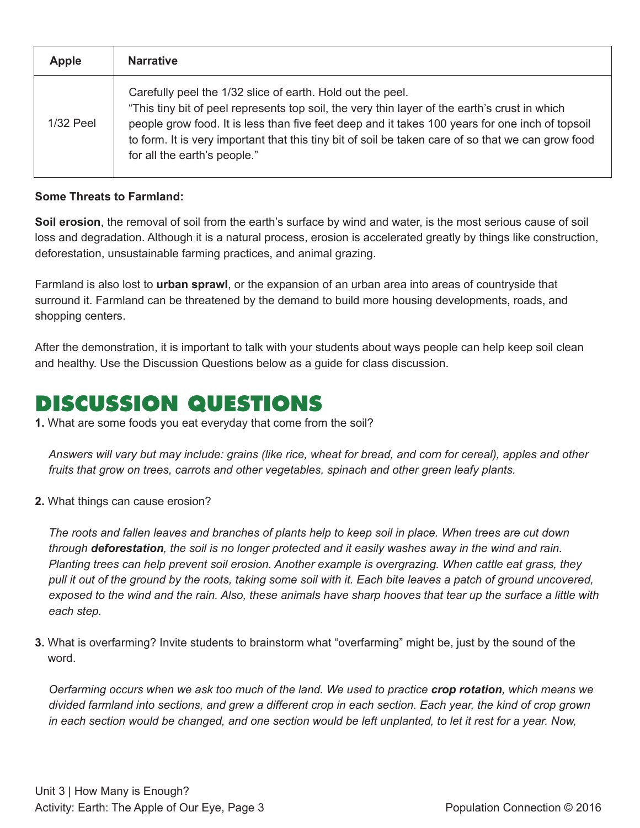| <b>Apple</b> | <b>Narrative</b>                                                                                                                                                                                                                                                                                                                                                                                     |
|--------------|------------------------------------------------------------------------------------------------------------------------------------------------------------------------------------------------------------------------------------------------------------------------------------------------------------------------------------------------------------------------------------------------------|
| $1/32$ Peel  | Carefully peel the 1/32 slice of earth. Hold out the peel.<br>"This tiny bit of peel represents top soil, the very thin layer of the earth's crust in which<br>people grow food. It is less than five feet deep and it takes 100 years for one inch of topsoil<br>to form. It is very important that this tiny bit of soil be taken care of so that we can grow food<br>for all the earth's people." |

#### **Some Threats to Farmland:**

**Soil erosion**, the removal of soil from the earth's surface by wind and water, is the most serious cause of soil loss and degradation. Although it is a natural process, erosion is accelerated greatly by things like construction, deforestation, unsustainable farming practices, and animal grazing.

Farmland is also lost to **urban sprawl**, or the expansion of an urban area into areas of countryside that surround it. Farmland can be threatened by the demand to build more housing developments, roads, and shopping centers.

After the demonstration, it is important to talk with your students about ways people can help keep soil clean and healthy. Use the Discussion Questions below as a guide for class discussion.

## **DISCUSSION QUESTIONS**

**1.** What are some foods you eat everyday that come from the soil?

*Answers will vary but may include: grains (like rice, wheat for bread, and corn for cereal), apples and other fruits that grow on trees, carrots and other vegetables, spinach and other green leafy plants.*

**2.** What things can cause erosion?

*The roots and fallen leaves and branches of plants help to keep soil in place. When trees are cut down through deforestation, the soil is no longer protected and it easily washes away in the wind and rain. Planting trees can help prevent soil erosion. Another example is overgrazing. When cattle eat grass, they*  pull it out of the ground by the roots, taking some soil with it. Each bite leaves a patch of ground uncovered, *exposed to the wind and the rain. Also, these animals have sharp hooves that tear up the surface a little with each step.*

**3.** What is overfarming? Invite students to brainstorm what "overfarming" might be, just by the sound of the word.

*Oerfarming occurs when we ask too much of the land. We used to practice crop rotation, which means we divided farmland into sections, and grew a different crop in each section. Each year, the kind of crop grown in each section would be changed, and one section would be left unplanted, to let it rest for a year. Now,*